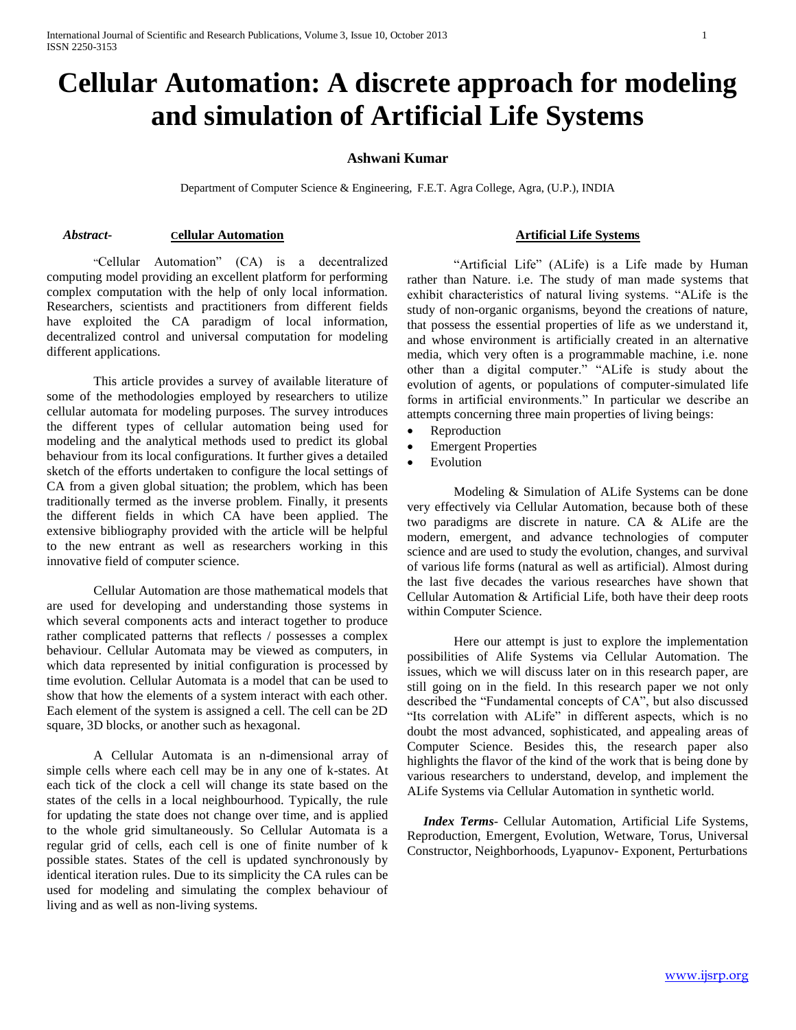# **Cellular Automation: A discrete approach for modeling and simulation of Artificial Life Systems**

## **Ashwani Kumar**

Department of Computer Science & Engineering, F.E.T. Agra College, Agra, (U.P.), INDIA

## *Abstract***- Cellular Automation**

"Cellular Automation" (CA) is a decentralized computing model providing an excellent platform for performing complex computation with the help of only local information. Researchers, scientists and practitioners from different fields have exploited the CA paradigm of local information, decentralized control and universal computation for modeling different applications.

This article provides a survey of available literature of some of the methodologies employed by researchers to utilize cellular automata for modeling purposes. The survey introduces the different types of cellular automation being used for modeling and the analytical methods used to predict its global behaviour from its local configurations. It further gives a detailed sketch of the efforts undertaken to configure the local settings of CA from a given global situation; the problem, which has been traditionally termed as the inverse problem. Finally, it presents the different fields in which CA have been applied. The extensive bibliography provided with the article will be helpful to the new entrant as well as researchers working in this innovative field of computer science.

Cellular Automation are those mathematical models that are used for developing and understanding those systems in which several components acts and interact together to produce rather complicated patterns that reflects / possesses a complex behaviour. Cellular Automata may be viewed as computers, in which data represented by initial configuration is processed by time evolution. Cellular Automata is a model that can be used to show that how the elements of a system interact with each other. Each element of the system is assigned a cell. The cell can be 2D square, 3D blocks, or another such as hexagonal.

A Cellular Automata is an n-dimensional array of simple cells where each cell may be in any one of k-states. At each tick of the clock a cell will change its state based on the states of the cells in a local neighbourhood. Typically, the rule for updating the state does not change over time, and is applied to the whole grid simultaneously. So Cellular Automata is a regular grid of cells, each cell is one of finite number of k possible states. States of the cell is updated synchronously by identical iteration rules. Due to its simplicity the CA rules can be used for modeling and simulating the complex behaviour of living and as well as non-living systems.

## **Artificial Life Systems**

"Artificial Life" (ALife) is a Life made by Human rather than Nature. i.e. The study of man made systems that exhibit characteristics of natural living systems. "ALife is the study of non-organic organisms, beyond the creations of nature, that possess the essential properties of life as we understand it, and whose environment is artificially created in an alternative media, which very often is a programmable machine, i.e. none other than a digital computer." "ALife is study about the evolution of agents, or populations of computer-simulated life forms in artificial environments." In particular we describe an attempts concerning three main properties of living beings:

- Reproduction
	- Emergent Properties
- Evolution

Modeling & Simulation of ALife Systems can be done very effectively via Cellular Automation, because both of these two paradigms are discrete in nature. CA & ALife are the modern, emergent, and advance technologies of computer science and are used to study the evolution, changes, and survival of various life forms (natural as well as artificial). Almost during the last five decades the various researches have shown that Cellular Automation & Artificial Life, both have their deep roots within Computer Science.

Here our attempt is just to explore the implementation possibilities of Alife Systems via Cellular Automation. The issues, which we will discuss later on in this research paper, are still going on in the field. In this research paper we not only described the "Fundamental concepts of CA", but also discussed "Its correlation with ALife" in different aspects, which is no doubt the most advanced, sophisticated, and appealing areas of Computer Science. Besides this, the research paper also highlights the flavor of the kind of the work that is being done by various researchers to understand, develop, and implement the ALife Systems via Cellular Automation in synthetic world.

 *Index Terms*- Cellular Automation, Artificial Life Systems, Reproduction, Emergent, Evolution, Wetware, Torus, Universal Constructor, Neighborhoods, Lyapunov- Exponent, Perturbations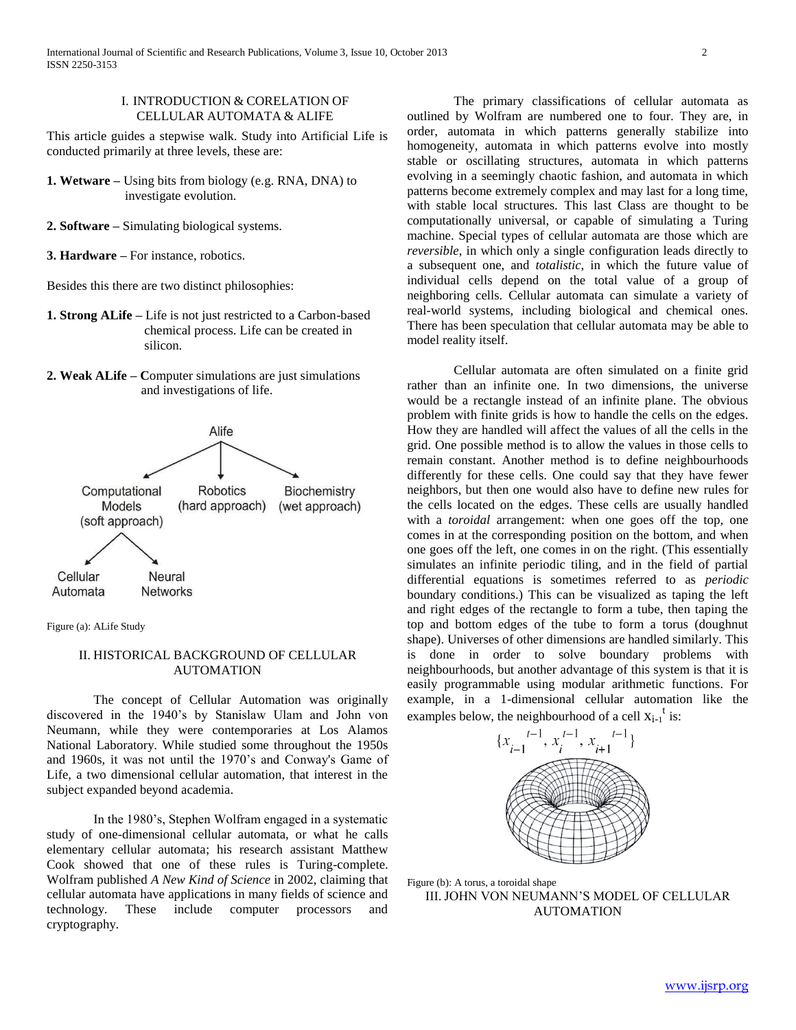#### I. INTRODUCTION & CORELATION OF CELLULAR AUTOMATA & ALIFE

This article guides a stepwise walk. Study into Artificial Life is conducted primarily at three levels, these are:

- **1. Wetware –** Using bits from biology (e.g. RNA, DNA) to investigate evolution.
- **2. Software –** Simulating biological systems.
- **3. Hardware –** For instance, robotics.

Besides this there are two distinct philosophies:

- **1. Strong ALife –** Life is not just restricted to a Carbon-based chemical process. Life can be created in silicon.
- **2. Weak ALife – C**omputer simulations are just simulations and investigations of life.



Figure (a): ALife Study

#### II. HISTORICAL BACKGROUND OF CELLULAR AUTOMATION

The concept of Cellular Automation was originally discovered in the 1940"s by Stanislaw Ulam and John von Neumann, while they were contemporaries at Los Alamos National Laboratory. While studied some throughout the 1950s and 1960s, it was not until the 1970"s and Conway's Game of Life, a two dimensional cellular automation, that interest in the subject expanded beyond academia.

In the 1980"s, Stephen Wolfram engaged in a systematic study of one-dimensional cellular automata, or what he calls elementary cellular automata; his research assistant Matthew Cook showed that one of these rules is Turing-complete. Wolfram published *A New Kind of Science* in 2002, claiming that cellular automata have applications in many fields of science and technology. These include computer processors and cryptography.

The primary classifications of cellular automata as outlined by Wolfram are numbered one to four. They are, in order, automata in which patterns generally stabilize into homogeneity, automata in which patterns evolve into mostly stable or oscillating structures, automata in which patterns evolving in a seemingly chaotic fashion, and automata in which patterns become extremely complex and may last for a long time, with stable local structures. This last Class are thought to be computationally universal, or capable of simulating a Turing machine. Special types of cellular automata are those which are *reversible*, in which only a single configuration leads directly to a subsequent one, and *totalistic*, in which the future value of individual cells depend on the total value of a group of neighboring cells. Cellular automata can simulate a variety of real-world systems, including biological and chemical ones. There has been speculation that cellular automata may be able to model reality itself.

Cellular automata are often simulated on a finite grid rather than an infinite one. In two dimensions, the universe would be a rectangle instead of an infinite plane. The obvious problem with finite grids is how to handle the cells on the edges. How they are handled will affect the values of all the cells in the grid. One possible method is to allow the values in those cells to remain constant. Another method is to define neighbourhoods differently for these cells. One could say that they have fewer neighbors, but then one would also have to define new rules for the cells located on the edges. These cells are usually handled with a *toroidal* arrangement: when one goes off the top, one comes in at the corresponding position on the bottom, and when one goes off the left, one comes in on the right. (This essentially simulates an infinite periodic tiling, and in the field of partial differential equations is sometimes referred to as *periodic*  boundary conditions.) This can be visualized as taping the left and right edges of the rectangle to form a tube, then taping the top and bottom edges of the tube to form a torus (doughnut shape). Universes of other dimensions are handled similarly. This is done in order to solve boundary problems with neighbourhoods, but another advantage of this system is that it is easily programmable using modular arithmetic functions. For example, in a 1-dimensional cellular automation like the examples below, the neighbourhood of a cell  $x_{i-1}$ <sup>t</sup> is:



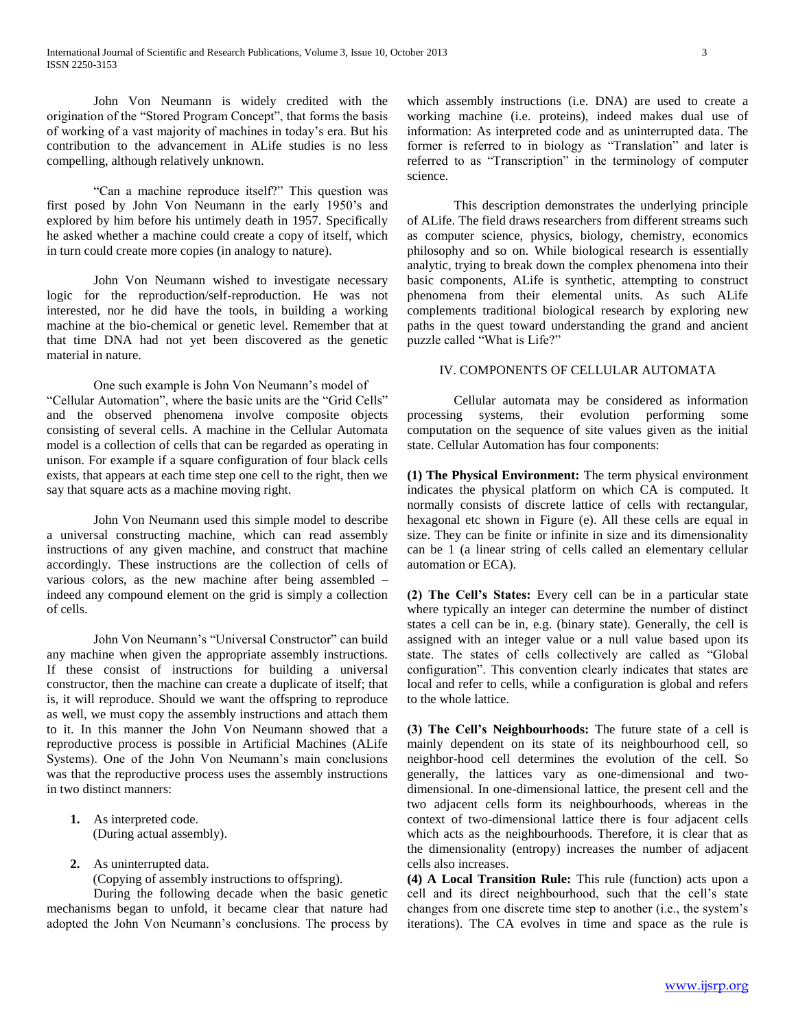John Von Neumann is widely credited with the origination of the "Stored Program Concept", that forms the basis of working of a vast majority of machines in today"s era. But his contribution to the advancement in ALife studies is no less compelling, although relatively unknown.

"Can a machine reproduce itself?" This question was first posed by John Von Neumann in the early 1950"s and explored by him before his untimely death in 1957. Specifically he asked whether a machine could create a copy of itself, which in turn could create more copies (in analogy to nature).

John Von Neumann wished to investigate necessary logic for the reproduction/self-reproduction. He was not interested, nor he did have the tools, in building a working machine at the bio-chemical or genetic level. Remember that at that time DNA had not yet been discovered as the genetic material in nature.

One such example is John Von Neumann"s model of "Cellular Automation", where the basic units are the "Grid Cells" and the observed phenomena involve composite objects consisting of several cells. A machine in the Cellular Automata model is a collection of cells that can be regarded as operating in unison. For example if a square configuration of four black cells exists, that appears at each time step one cell to the right, then we say that square acts as a machine moving right.

John Von Neumann used this simple model to describe a universal constructing machine, which can read assembly instructions of any given machine, and construct that machine accordingly. These instructions are the collection of cells of various colors, as the new machine after being assembled – indeed any compound element on the grid is simply a collection of cells.

John Von Neumann"s "Universal Constructor" can build any machine when given the appropriate assembly instructions. If these consist of instructions for building a universal constructor, then the machine can create a duplicate of itself; that is, it will reproduce. Should we want the offspring to reproduce as well, we must copy the assembly instructions and attach them to it. In this manner the John Von Neumann showed that a reproductive process is possible in Artificial Machines (ALife Systems). One of the John Von Neumann"s main conclusions was that the reproductive process uses the assembly instructions in two distinct manners:

- **1.** As interpreted code. (During actual assembly).
- **2.** As uninterrupted data.

(Copying of assembly instructions to offspring).

During the following decade when the basic genetic mechanisms began to unfold, it became clear that nature had adopted the John Von Neumann"s conclusions. The process by

which assembly instructions (i.e. DNA) are used to create a working machine (i.e. proteins), indeed makes dual use of information: As interpreted code and as uninterrupted data. The former is referred to in biology as "Translation" and later is referred to as "Transcription" in the terminology of computer science.

This description demonstrates the underlying principle of ALife. The field draws researchers from different streams such as computer science, physics, biology, chemistry, economics philosophy and so on. While biological research is essentially analytic, trying to break down the complex phenomena into their basic components, ALife is synthetic, attempting to construct phenomena from their elemental units. As such ALife complements traditional biological research by exploring new paths in the quest toward understanding the grand and ancient puzzle called "What is Life?"

#### IV. COMPONENTS OF CELLULAR AUTOMATA

Cellular automata may be considered as information processing systems, their evolution performing some computation on the sequence of site values given as the initial state. Cellular Automation has four components:

**(1) The Physical Environment:** The term physical environment indicates the physical platform on which CA is computed. It normally consists of discrete lattice of cells with rectangular, hexagonal etc shown in Figure (e). All these cells are equal in size. They can be finite or infinite in size and its dimensionality can be 1 (a linear string of cells called an elementary cellular automation or ECA).

**(2) The Cell's States:** Every cell can be in a particular state where typically an integer can determine the number of distinct states a cell can be in, e.g. (binary state). Generally, the cell is assigned with an integer value or a null value based upon its state. The states of cells collectively are called as "Global configuration". This convention clearly indicates that states are local and refer to cells, while a configuration is global and refers to the whole lattice.

**(3) The Cell's Neighbourhoods:** The future state of a cell is mainly dependent on its state of its neighbourhood cell, so neighbor-hood cell determines the evolution of the cell. So generally, the lattices vary as one-dimensional and twodimensional. In one-dimensional lattice, the present cell and the two adjacent cells form its neighbourhoods, whereas in the context of two-dimensional lattice there is four adjacent cells which acts as the neighbourhoods. Therefore, it is clear that as the dimensionality (entropy) increases the number of adjacent cells also increases.

**(4) A Local Transition Rule:** This rule (function) acts upon a cell and its direct neighbourhood, such that the cell"s state changes from one discrete time step to another (i.e., the system"s iterations). The CA evolves in time and space as the rule is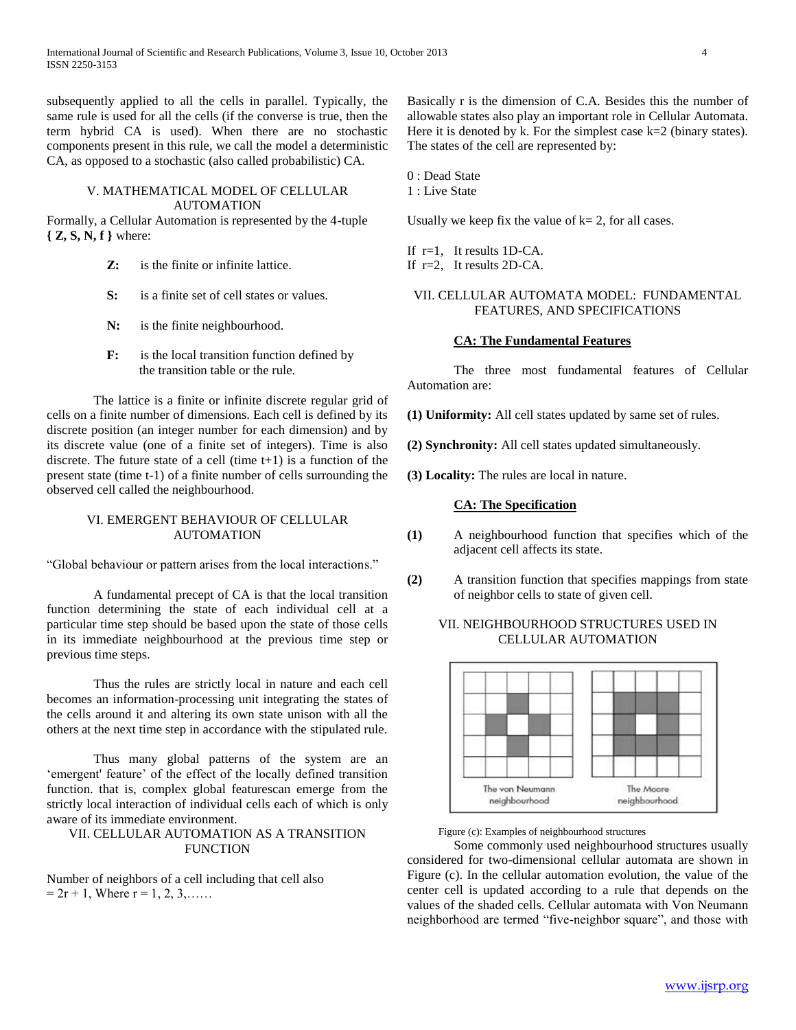subsequently applied to all the cells in parallel. Typically, the same rule is used for all the cells (if the converse is true, then the term hybrid CA is used). When there are no stochastic components present in this rule, we call the model a deterministic CA, as opposed to a stochastic (also called probabilistic) CA.

#### V. MATHEMATICAL MODEL OF CELLULAR AUTOMATION

Formally, a Cellular Automation is represented by the 4-tuple **{ Z, S, N, f }** where:

- **Z:** is the finite or infinite lattice.
- **S:** is a finite set of cell states or values.
- **N:** is the finite neighbourhood.
- **F:** is the local transition function defined by the transition table or the rule.

The lattice is a finite or infinite discrete regular grid of cells on a finite number of dimensions. Each cell is defined by its discrete position (an integer number for each dimension) and by its discrete value (one of a finite set of integers). Time is also discrete. The future state of a cell (time  $t+1$ ) is a function of the present state (time t-1) of a finite number of cells surrounding the observed cell called the neighbourhood.

## VI. EMERGENT BEHAVIOUR OF CELLULAR AUTOMATION

"Global behaviour or pattern arises from the local interactions."

A fundamental precept of CA is that the local transition function determining the state of each individual cell at a particular time step should be based upon the state of those cells in its immediate neighbourhood at the previous time step or previous time steps.

Thus the rules are strictly local in nature and each cell becomes an information-processing unit integrating the states of the cells around it and altering its own state unison with all the others at the next time step in accordance with the stipulated rule.

Thus many global patterns of the system are an "emergent' feature" of the effect of the locally defined transition function. that is, complex global featurescan emerge from the strictly local interaction of individual cells each of which is only aware of its immediate environment.

#### VII. CELLULAR AUTOMATION AS A TRANSITION **FUNCTION**

Number of neighbors of a cell including that cell also  $= 2r + 1$ , Where  $r = 1, 2, 3, \dots$ 

Basically r is the dimension of C.A. Besides this the number of allowable states also play an important role in Cellular Automata. Here it is denoted by  $\hat{k}$ . For the simplest case  $k=2$  (binary states). The states of the cell are represented by:

0 : Dead State

1 : Live State

Usually we keep fix the value of  $k = 2$ , for all cases.

If  $r=1$ , It results 1D-CA. If r=2, It results 2D-CA.

## VII. CELLULAR AUTOMATA MODEL: FUNDAMENTAL FEATURES, AND SPECIFICATIONS

#### **CA: The Fundamental Features**

The three most fundamental features of Cellular Automation are:

**(1) Uniformity:** All cell states updated by same set of rules.

**(2) Synchronity:** All cell states updated simultaneously.

**(3) Locality:** The rules are local in nature.

#### **CA: The Specification**

- **(1)** A neighbourhood function that specifies which of the adjacent cell affects its state.
- **(2)** A transition function that specifies mappings from state of neighbor cells to state of given cell.

## VII. NEIGHBOURHOOD STRUCTURES USED IN CELLULAR AUTOMATION



Figure (c): Examples of neighbourhood structures

Some commonly used neighbourhood structures usually considered for two-dimensional cellular automata are shown in Figure (c). In the cellular automation evolution, the value of the center cell is updated according to a rule that depends on the values of the shaded cells. Cellular automata with Von Neumann neighborhood are termed "five-neighbor square", and those with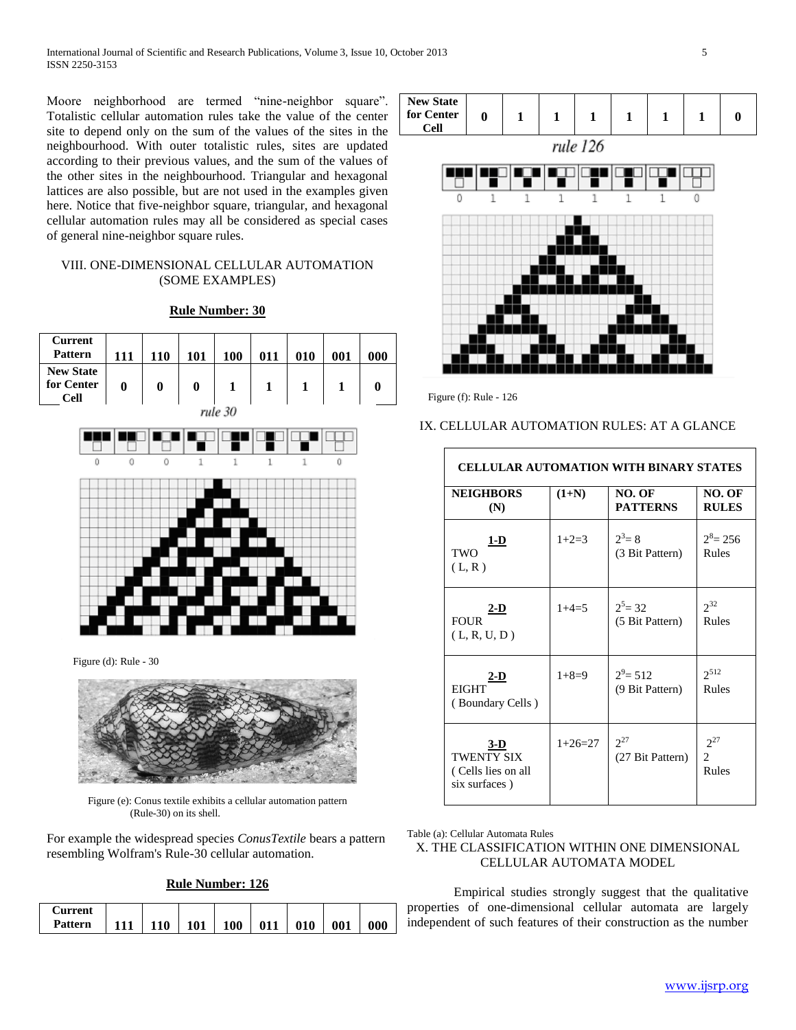Moore neighborhood are termed "nine-neighbor square". Totalistic cellular automation rules take the value of the center site to depend only on the sum of the values of the sites in the neighbourhood. With outer totalistic rules, sites are updated according to their previous values, and the sum of the values of the other sites in the neighbourhood. Triangular and hexagonal lattices are also possible, but are not used in the examples given here. Notice that five-neighbor square, triangular, and hexagonal cellular automation rules may all be considered as special cases of general nine-neighbor square rules.

## VIII. ONE-DIMENSIONAL CELLULAR AUTOMATION (SOME EXAMPLES)

#### **Rule Number: 30**



Figure (d): Rule - 30



Figure (e): Conus textile exhibits a cellular automation pattern (Rule-30) on its shell.

For example the widespread species *ConusTextile* bears a pattern resembling Wolfram's Rule-30 cellular automation.

## **Rule Number: 126**

| ' `urrent |     |            |     |     |     |     |     |
|-----------|-----|------------|-----|-----|-----|-----|-----|
| Pattern   | 110 | <b>101</b> | 100 | 011 | 010 | 001 | 000 |



Figure (f): Rule - 126

## IX. CELLULAR AUTOMATION RULES: AT A GLANCE

| <b>CELLULAR AUTOMATION WITH BINARY STATES</b>              |           |                                |                                     |  |  |  |  |
|------------------------------------------------------------|-----------|--------------------------------|-------------------------------------|--|--|--|--|
| <b>NEIGHBORS</b><br>(N)                                    | $(1+N)$   | NO. OF<br><b>PATTERNS</b>      | NO. OF<br><b>RULES</b>              |  |  |  |  |
| <u>1-D</u><br>TWO<br>(L, R)                                | $1+2=3$   | $2^3 = 8$<br>(3 Bit Pattern)   | $2^8$ = 256<br>Rules                |  |  |  |  |
| <u>2-D</u><br><b>FOUR</b><br>(L, R, U, D)                  | $1+4=5$   | $2^5$ = 32<br>(5 Bit Pattern)  | $2^{32}$<br>Rules                   |  |  |  |  |
| $2-D$<br><b>EIGHT</b><br>(Boundary Cells)                  | $1+8=9$   | $2^9$ = 512<br>(9 Bit Pattern) | $2^{512}$<br>Rules                  |  |  |  |  |
| $3-D$<br>TWENTY SIX<br>(Cells lies on all<br>six surfaces) | $1+26=27$ | $2^{27}$<br>(27 Bit Pattern)   | $2^{27}$<br>$\overline{2}$<br>Rules |  |  |  |  |

Table (a): Cellular Automata Rules

## X. THE CLASSIFICATION WITHIN ONE DIMENSIONAL CELLULAR AUTOMATA MODEL

Empirical studies strongly suggest that the qualitative properties of one-dimensional cellular automata are largely independent of such features of their construction as the number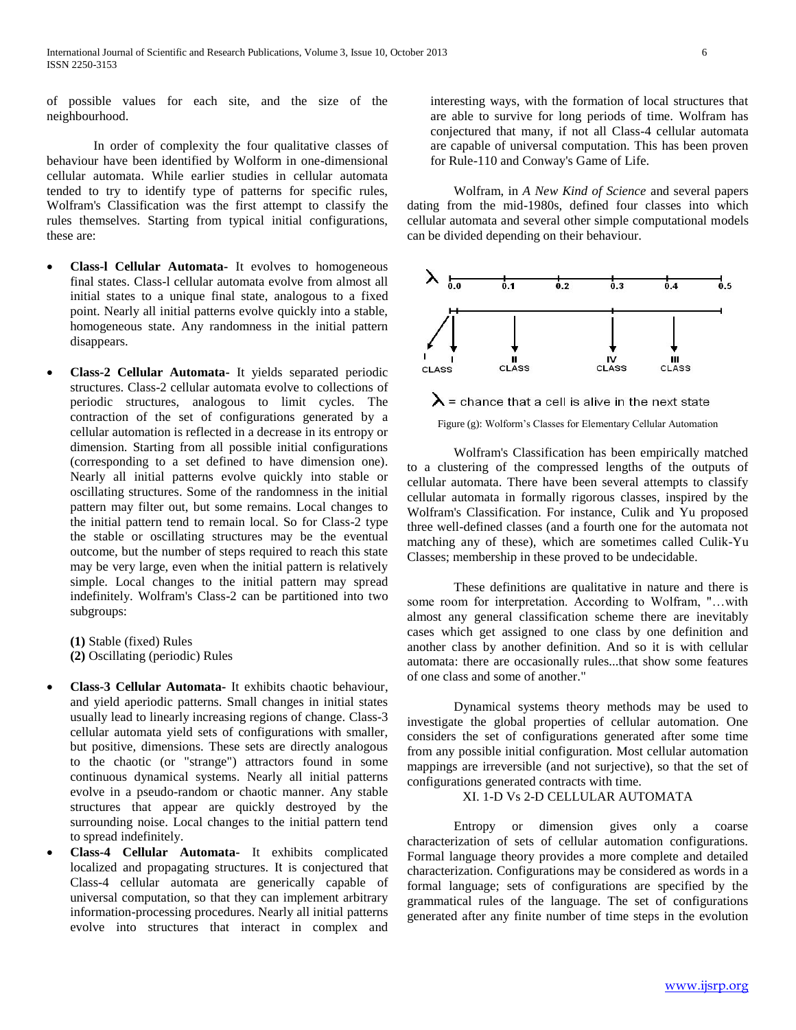of possible values for each site, and the size of the neighbourhood.

In order of complexity the four qualitative classes of behaviour have been identified by Wolform in one-dimensional cellular automata. While earlier studies in cellular automata tended to try to identify type of patterns for specific rules, Wolfram's Classification was the first attempt to classify the rules themselves. Starting from typical initial configurations, these are:

- **Class-l Cellular Automata-** It evolves to homogeneous final states. Class-l cellular automata evolve from almost all initial states to a unique final state, analogous to a fixed point. Nearly all initial patterns evolve quickly into a stable, homogeneous state. Any randomness in the initial pattern disappears.
- **Class-2 Cellular Automata-** It yields separated periodic structures. Class-2 cellular automata evolve to collections of periodic structures, analogous to limit cycles. The contraction of the set of configurations generated by a cellular automation is reflected in a decrease in its entropy or dimension. Starting from all possible initial configurations (corresponding to a set defined to have dimension one). Nearly all initial patterns evolve quickly into stable or oscillating structures. Some of the randomness in the initial pattern may filter out, but some remains. Local changes to the initial pattern tend to remain local. So for Class-2 type the stable or oscillating structures may be the eventual outcome, but the number of steps required to reach this state may be very large, even when the initial pattern is relatively simple. Local changes to the initial pattern may spread indefinitely. Wolfram's Class-2 can be partitioned into two subgroups:

**(1)** Stable (fixed) Rules **(2)** Oscillating (periodic) Rules

- **Class-3 Cellular Automata-** It exhibits chaotic behaviour, and yield aperiodic patterns. Small changes in initial states usually lead to linearly increasing regions of change. Class-3 cellular automata yield sets of configurations with smaller, but positive, dimensions. These sets are directly analogous to the chaotic (or "strange") attractors found in some continuous dynamical systems. Nearly all initial patterns evolve in a pseudo-random or chaotic manner. Any stable structures that appear are quickly destroyed by the surrounding noise. Local changes to the initial pattern tend to spread indefinitely.
- **Class-4 Cellular Automata-** It exhibits complicated localized and propagating structures. It is conjectured that Class-4 cellular automata are generically capable of universal computation, so that they can implement arbitrary information-processing procedures. Nearly all initial patterns evolve into structures that interact in complex and

interesting ways, with the formation of local structures that are able to survive for long periods of time. Wolfram has conjectured that many, if not all Class-4 cellular automata are capable of universal computation. This has been proven for Rule-110 and Conway's Game of Life.

Wolfram, in *A New Kind of Science* and several papers dating from the mid-1980s, defined four classes into which cellular automata and several other simple computational models can be divided depending on their behaviour.



 $\boldsymbol{\lambda}$  = chance that a cell is alive in the next state

Figure (g): Wolform"s Classes for Elementary Cellular Automation

Wolfram's Classification has been empirically matched to a clustering of the compressed lengths of the outputs of cellular automata. There have been several attempts to classify cellular automata in formally rigorous classes, inspired by the Wolfram's Classification. For instance, Culik and Yu proposed three well-defined classes (and a fourth one for the automata not matching any of these), which are sometimes called Culik-Yu Classes; membership in these proved to be undecidable.

These definitions are qualitative in nature and there is some room for interpretation. According to Wolfram, "…with almost any general classification scheme there are inevitably cases which get assigned to one class by one definition and another class by another definition. And so it is with cellular automata: there are occasionally rules...that show some features of one class and some of another."

Dynamical systems theory methods may be used to investigate the global properties of cellular automation. One considers the set of configurations generated after some time from any possible initial configuration. Most cellular automation mappings are irreversible (and not surjective), so that the set of configurations generated contracts with time.

XI. 1-D Vs 2-D CELLULAR AUTOMATA

Entropy or dimension gives only a coarse characterization of sets of cellular automation configurations. Formal language theory provides a more complete and detailed characterization. Configurations may be considered as words in a formal language; sets of configurations are specified by the grammatical rules of the language. The set of configurations generated after any finite number of time steps in the evolution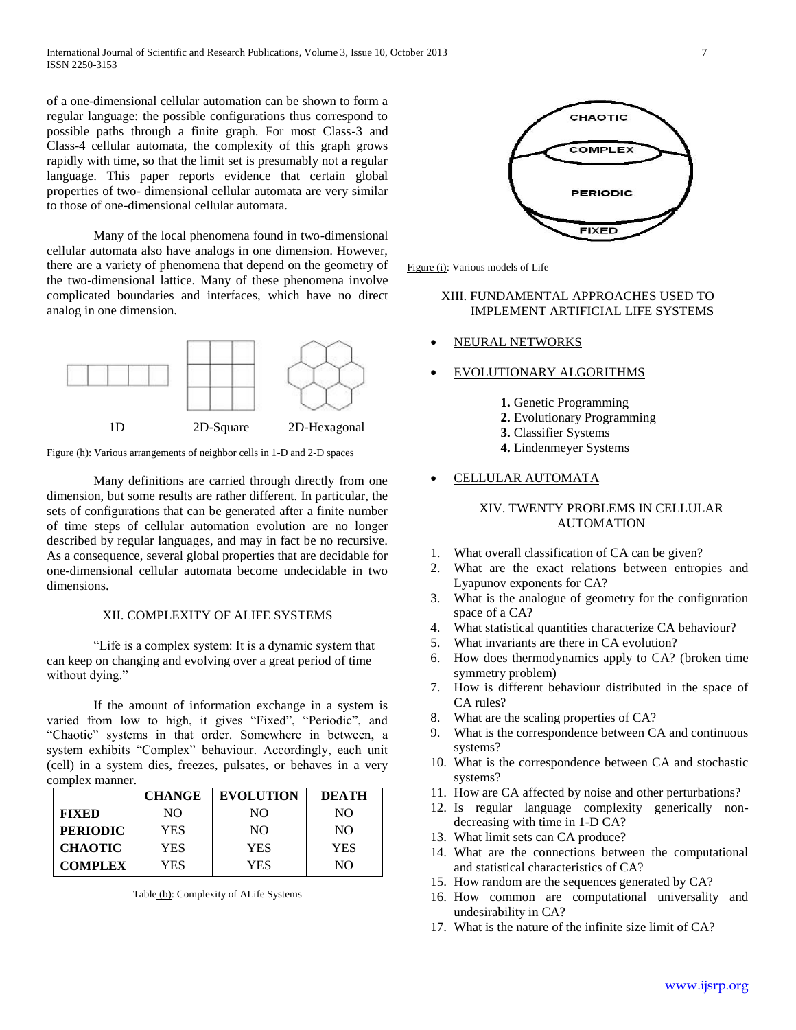of a one-dimensional cellular automation can be shown to form a regular language: the possible configurations thus correspond to possible paths through a finite graph. For most Class-3 and Class-4 cellular automata, the complexity of this graph grows rapidly with time, so that the limit set is presumably not a regular language. This paper reports evidence that certain global properties of two- dimensional cellular automata are very similar to those of one-dimensional cellular automata.

Many of the local phenomena found in two-dimensional cellular automata also have analogs in one dimension. However, there are a variety of phenomena that depend on the geometry of the two-dimensional lattice. Many of these phenomena involve complicated boundaries and interfaces, which have no direct analog in one dimension.



Figure (h): Various arrangements of neighbor cells in 1-D and 2-D spaces

Many definitions are carried through directly from one dimension, but some results are rather different. In particular, the sets of configurations that can be generated after a finite number of time steps of cellular automation evolution are no longer described by regular languages, and may in fact be no recursive. As a consequence, several global properties that are decidable for one-dimensional cellular automata become undecidable in two dimensions.

## XII. COMPLEXITY OF ALIFE SYSTEMS

"Life is a complex system: It is a dynamic system that can keep on changing and evolving over a great period of time without dying."

If the amount of information exchange in a system is varied from low to high, it gives "Fixed", "Periodic", and "Chaotic" systems in that order. Somewhere in between, a system exhibits "Complex" behaviour. Accordingly, each unit (cell) in a system dies, freezes, pulsates, or behaves in a very complex manner.

|                 | <b>CHANGE</b> | <b>EVOLUTION</b> | <b>DEATH</b> |
|-----------------|---------------|------------------|--------------|
| <b>FIXED</b>    | NΟ            | NΟ               | NΟ           |
| <b>PERIODIC</b> | YES           | NΩ               | NΟ           |
| <b>CHAOTIC</b>  | YES           | YES              | YES          |
| <b>COMPLEX</b>  | YES           | YES              | NO           |

Table (b): Complexity of ALife Systems



Figure (i): Various models of Life

## XIII. FUNDAMENTAL APPROACHES USED TO IMPLEMENT ARTIFICIAL LIFE SYSTEMS

- NEURAL NETWORKS
- EVOLUTIONARY ALGORITHMS
	- **1.** Genetic Programming
	- **2.** Evolutionary Programming
	- **3.** Classifier Systems
	- **4.** Lindenmeyer Systems

## CELLULAR AUTOMATA

## XIV. TWENTY PROBLEMS IN CELLULAR AUTOMATION

- 1. What overall classification of CA can be given?
- 2. What are the exact relations between entropies and Lyapunov exponents for CA?
- 3. What is the analogue of geometry for the configuration space of a CA?
- 4. What statistical quantities characterize CA behaviour?
- 5. What invariants are there in CA evolution?
- 6. How does thermodynamics apply to CA? (broken time symmetry problem)
- 7. How is different behaviour distributed in the space of CA rules?
- 8. What are the scaling properties of CA?
- 9. What is the correspondence between CA and continuous systems?
- 10. What is the correspondence between CA and stochastic systems?
- 11. How are CA affected by noise and other perturbations?
- 12. Is regular language complexity generically nondecreasing with time in 1-D CA?
- 13. What limit sets can CA produce?
- 14. What are the connections between the computational and statistical characteristics of CA?
- 15. How random are the sequences generated by CA?
- 16. How common are computational universality and undesirability in CA?
- 17. What is the nature of the infinite size limit of CA?